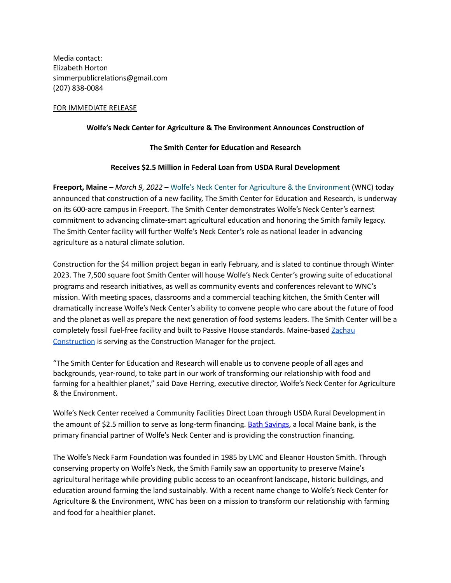Media contact: Elizabeth Horton simmerpublicrelations@gmail.com (207) 838-0084

## FOR IMMEDIATE RELEASE

## **Wolfe's Neck Center for Agriculture & The Environment Announces Construction of**

### **The Smith Center for Education and Research**

### **Receives \$2.5 Million in Federal Loan from USDA Rural Development**

**Freeport, Maine** *– March 9, 2022 –* Wolfe's Neck Center for Agriculture & the [Environment](http://www.wolfesneck.org) (WNC) today announced that construction of a new facility, The Smith Center for Education and Research, is underway on its 600-acre campus in Freeport. The Smith Center demonstrates Wolfe's Neck Center's earnest commitment to advancing climate-smart agricultural education and honoring the Smith family legacy. The Smith Center facility will further Wolfe's Neck Center's role as national leader in advancing agriculture as a natural climate solution.

Construction for the \$4 million project began in early February, and is slated to continue through Winter 2023. The 7,500 square foot Smith Center will house Wolfe's Neck Center's growing suite of educational programs and research initiatives, as well as community events and conferences relevant to WNC's mission. With meeting spaces, classrooms and a commercial teaching kitchen, the Smith Center will dramatically increase Wolfe's Neck Center's ability to convene people who care about the future of food and the planet as well as prepare the next generation of food systems leaders. The Smith Center will be a completely fossil fuel-free facility and built to Passive House standards. Maine-based [Zachau](https://www.zachauconstruction.com/) [Construction](https://www.zachauconstruction.com/) is serving as the Construction Manager for the project.

"The Smith Center for Education and Research will enable us to convene people of all ages and backgrounds, year-round, to take part in our work of transforming our relationship with food and farming for a healthier planet," said Dave Herring, executive director, Wolfe's Neck Center for Agriculture & the Environment.

Wolfe's Neck Center received a Community Facilities Direct Loan through USDA Rural Development in the amount of \$2.5 million to serve as long-term financing. Bath [Savings,](https://www.bathsavings.bank/) a local Maine bank, is the primary financial partner of Wolfe's Neck Center and is providing the construction financing.

The Wolfe's Neck Farm Foundation was founded in 1985 by LMC and Eleanor Houston Smith. Through conserving property on Wolfe's Neck, the Smith Family saw an opportunity to preserve Maine's agricultural heritage while providing public access to an oceanfront landscape, historic buildings, and education around farming the land sustainably. With a recent name change to Wolfe's Neck Center for Agriculture & the Environment, WNC has been on a mission to transform our relationship with farming and food for a healthier planet.